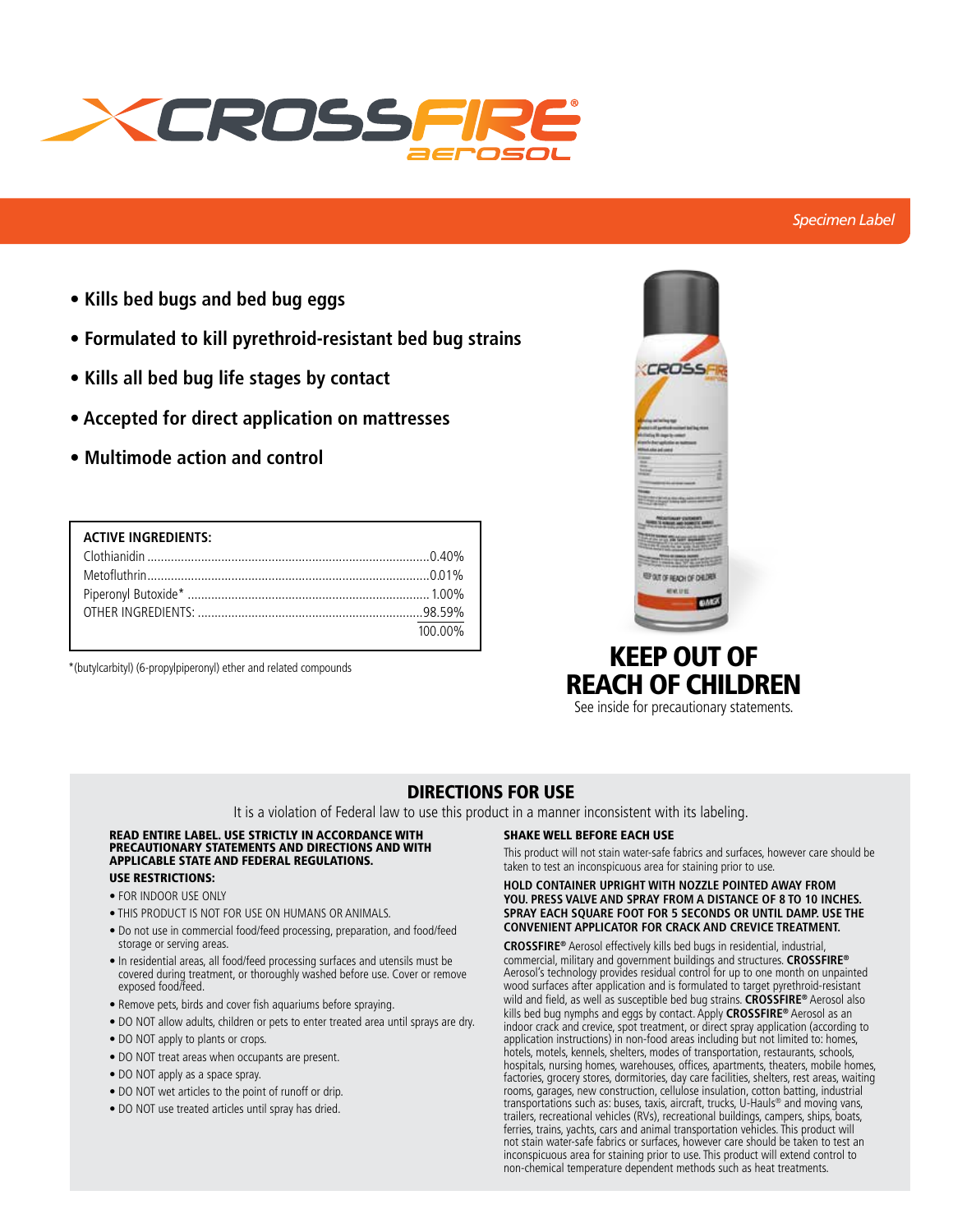

# *Specimen Label*

- **Kills bed bugs and bed bug eggs**
- **Formulated to kill pyrethroid-resistant bed bug strains**
- **Kills all bed bug life stages by contact**
- **Accepted for direct application on mattresses**
- **Multimode action and control**

| <b>ACTIVE INGREDIENTS:</b> |         |
|----------------------------|---------|
|                            |         |
|                            |         |
|                            |         |
|                            |         |
|                            | 100.00% |

\*(butylcarbityl) (6-propylpiperonyl) ether and related compounds



# KEEP OUT OF REACH OF CHILDREN

See inside for precautionary statements.

# DIRECTIONS FOR USE

It is a violation of Federal law to use this product in a manner inconsistent with its labeling.

## READ ENTIRE LABEL. USE STRICTLY IN ACCORDANCE WITH PRECAUTIONARY STATEMENTS AND DIRECTIONS AND WITH APPLICABLE STATE AND FEDERAL REGULATIONS.

# USE RESTRICTIONS:

- FOR INDOOR USE ONLY
- THIS PRODUCT IS NOT FOR USE ON HUMANS OR ANIMALS.
- Do not use in commercial food/feed processing, preparation, and food/feed storage or serving areas.
- In residential areas, all food/feed processing surfaces and utensils must be covered during treatment, or thoroughly washed before use. Cover or remove exposed food/feed.
- Remove pets, birds and cover fish aquariums before spraying.
- DO NOT allow adults, children or pets to enter treated area until sprays are dry.
- DO NOT apply to plants or crops.
- DO NOT treat areas when occupants are present.
- DO NOT apply as a space spray.
- DO NOT wet articles to the point of runoff or drip.
- DO NOT use treated articles until spray has dried.

## SHAKE WELL BEFORE EACH USE

This product will not stain water-safe fabrics and surfaces, however care should be taken to test an inconspicuous area for staining prior to use.

#### **HOLD CONTAINER UPRIGHT WITH NOZZLE POINTED AWAY FROM YOU. PRESS VALVE AND SPRAY FROM A DISTANCE OF 8 TO 10 INCHES. SPRAY EACH SQUARE FOOT FOR 5 SECONDS OR UNTIL DAMP. USE THE CONVENIENT APPLICATOR FOR CRACK AND CREVICE TREATMENT.**

**CROSSFIRE®** Aerosol effectively kills bed bugs in residential, industrial, commercial, military and government buildings and structures. **CROSSFIRE®** Aerosol's technology provides residual control for up to one month on unpainted wood surfaces after application and is formulated to target pyrethroid-resistant wild and field, as well as susceptible bed bug strains. **CROSSFIRE®** Aerosol also kills bed bug nymphs and eggs by contact. Apply **CROSSFIRE®** Aerosol as an indoor crack and crevice, spot treatment, or direct spray application (according to application instructions) in non-food areas including but not limited to: homes, hotels, motels, kennels, shelters, modes of transportation, restaurants, schools, hospitals, nursing homes, warehouses, offices, apartments, theaters, mobile homes, factories, grocery stores, dormitories, day care facilities, shelters, rest areas, waiting rooms, garages, new construction, cellulose insulation, cotton batting, industrial transportations such as: buses, taxis, aircraft, trucks, U-Hauls® and moving vans, trailers, recreational vehicles (RVs), recreational buildings, campers, ships, boats, ferries, trains, yachts, cars and animal transportation vehicles. This product will not stain water-safe fabrics or surfaces, however care should be taken to test an inconspicuous area for staining prior to use. This product will extend control to non-chemical temperature dependent methods such as heat treatments.